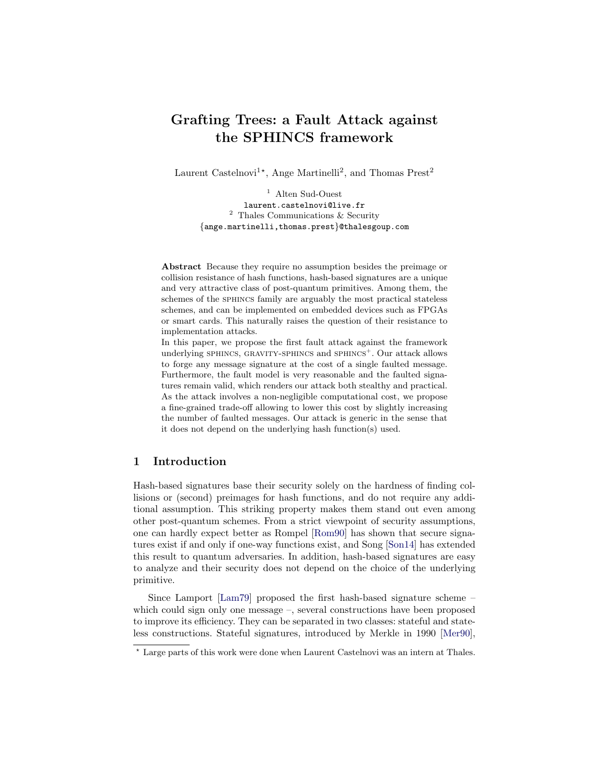# <span id="page-0-0"></span>Grafting Trees: a Fault Attack against the SPHINCS framework

Laurent Castelnovi<sup>1\*</sup>, Ange Martinelli<sup>2</sup>, and Thomas Prest<sup>2</sup>

<sup>1</sup> Alten Sud-Ouest laurent.castelnovi@live.fr <sup>2</sup> Thales Communications & Security {ange.martinelli,thomas.prest}@thalesgoup.com

Abstract Because they require no assumption besides the preimage or collision resistance of hash functions, hash-based signatures are a unique and very attractive class of post-quantum primitives. Among them, the schemes of the sphincs family are arguably the most practical stateless schemes, and can be implemented on embedded devices such as FPGAs or smart cards. This naturally raises the question of their resistance to implementation attacks.

In this paper, we propose the first fault attack against the framework underlying SPHINCS, GRAVITY-SPHINCS and SPHINCS<sup>+</sup>. Our attack allows to forge any message signature at the cost of a single faulted message. Furthermore, the fault model is very reasonable and the faulted signatures remain valid, which renders our attack both stealthy and practical. As the attack involves a non-negligible computational cost, we propose a fine-grained trade-off allowing to lower this cost by slightly increasing the number of faulted messages. Our attack is generic in the sense that it does not depend on the underlying hash function(s) used.

# 1 Introduction

Hash-based signatures base their security solely on the hardness of finding collisions or (second) preimages for hash functions, and do not require any additional assumption. This striking property makes them stand out even among other post-quantum schemes. From a strict viewpoint of security assumptions, one can hardly expect better as Rompel [\[Rom90\]](#page-20-0) has shown that secure signatures exist if and only if one-way functions exist, and Song [\[Son14\]](#page-20-1) has extended this result to quantum adversaries. In addition, hash-based signatures are easy to analyze and their security does not depend on the choice of the underlying primitive.

Since Lamport [\[Lam79\]](#page-20-2) proposed the first hash-based signature scheme – which could sign only one message –, several constructions have been proposed to improve its efficiency. They can be separated in two classes: stateful and stateless constructions. Stateful signatures, introduced by Merkle in 1990 [\[Mer90\]](#page-20-3),

<sup>?</sup> Large parts of this work were done when Laurent Castelnovi was an intern at Thales.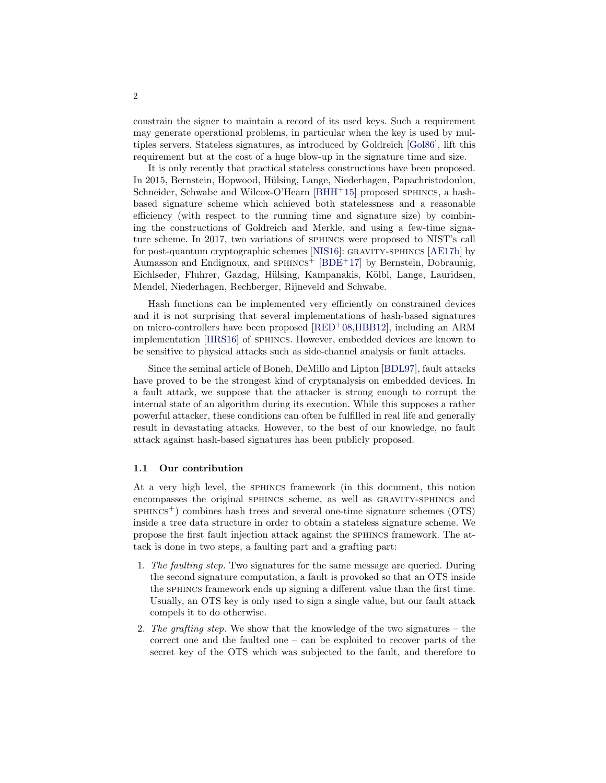<span id="page-1-0"></span>constrain the signer to maintain a record of its used keys. Such a requirement may generate operational problems, in particular when the key is used by multiples servers. Stateless signatures, as introduced by Goldreich [\[Gol86\]](#page-19-0), lift this requirement but at the cost of a huge blow-up in the signature time and size.

It is only recently that practical stateless constructions have been proposed. In 2015, Bernstein, Hopwood, Hülsing, Lange, Niederhagen, Papachristodoulou, Schneider, Schwabe and Wilcox-O'Hearn [\[BHH](#page-19-1)<sup>+</sup>15] proposed SPHINCS, a hashbased signature scheme which achieved both statelessness and a reasonable efficiency (with respect to the running time and signature size) by combining the constructions of Goldreich and Merkle, and using a few-time signature scheme. In 2017, two variations of sphincs were proposed to NIST's call for post-quantum cryptographic schemes [\[NIS16\]](#page-20-4): gravity-sphincs [\[AE17b\]](#page-18-0) by Aumasson and Endignoux, and sphincs<sup>+</sup> [\[BDE](#page-18-1)+17] by Bernstein, Dobraunig, Eichlseder, Fluhrer, Gazdag, Hülsing, Kampanakis, Kölbl, Lange, Lauridsen, Mendel, Niederhagen, Rechberger, Rijneveld and Schwabe.

Hash functions can be implemented very efficiently on constrained devices and it is not surprising that several implementations of hash-based signatures on micro-controllers have been proposed [\[RED](#page-20-5)+08[,HBB12\]](#page-19-2), including an ARM implementation [\[HRS16\]](#page-20-6) of sphincs. However, embedded devices are known to be sensitive to physical attacks such as side-channel analysis or fault attacks.

Since the seminal article of Boneh, DeMillo and Lipton [\[BDL97\]](#page-19-3), fault attacks have proved to be the strongest kind of cryptanalysis on embedded devices. In a fault attack, we suppose that the attacker is strong enough to corrupt the internal state of an algorithm during its execution. While this supposes a rather powerful attacker, these conditions can often be fulfilled in real life and generally result in devastating attacks. However, to the best of our knowledge, no fault attack against hash-based signatures has been publicly proposed.

## 1.1 Our contribution

At a very high level, the sphincs framework (in this document, this notion encompasses the original sphincs scheme, as well as gravity-sphincs and  $s$ PHINCS<sup>+</sup>) combines hash trees and several one-time signature schemes ( $OTS$ ) inside a tree data structure in order to obtain a stateless signature scheme. We propose the first fault injection attack against the sphincs framework. The attack is done in two steps, a faulting part and a grafting part:

- 1. The faulting step. Two signatures for the same message are queried. During the second signature computation, a fault is provoked so that an OTS inside the sphincs framework ends up signing a different value than the first time. Usually, an OTS key is only used to sign a single value, but our fault attack compels it to do otherwise.
- 2. The grafting step. We show that the knowledge of the two signatures the correct one and the faulted one – can be exploited to recover parts of the secret key of the OTS which was subjected to the fault, and therefore to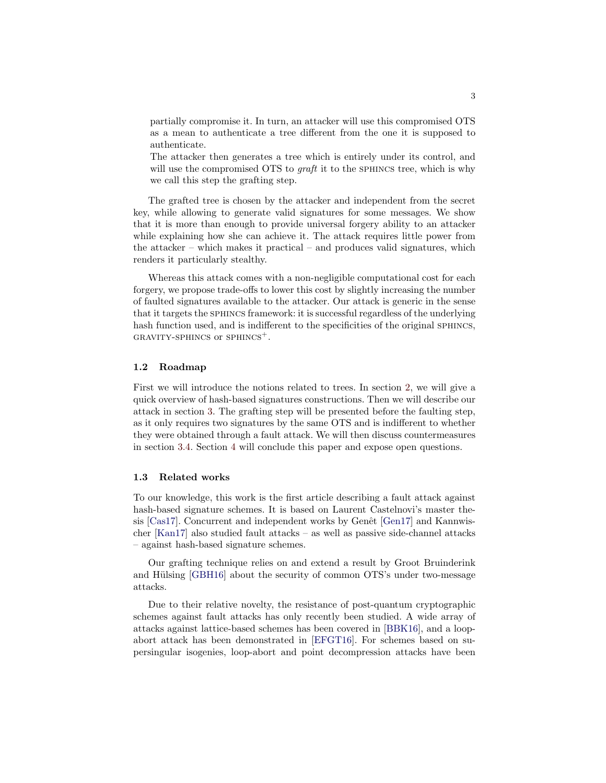<span id="page-2-0"></span>partially compromise it. In turn, an attacker will use this compromised OTS as a mean to authenticate a tree different from the one it is supposed to authenticate.

The attacker then generates a tree which is entirely under its control, and will use the compromised OTS to *graft* it to the SPHINCS tree, which is why we call this step the grafting step.

The grafted tree is chosen by the attacker and independent from the secret key, while allowing to generate valid signatures for some messages. We show that it is more than enough to provide universal forgery ability to an attacker while explaining how she can achieve it. The attack requires little power from the attacker – which makes it practical – and produces valid signatures, which renders it particularly stealthy.

Whereas this attack comes with a non-negligible computational cost for each forgery, we propose trade-offs to lower this cost by slightly increasing the number of faulted signatures available to the attacker. Our attack is generic in the sense that it targets the sphincs framework: it is successful regardless of the underlying hash function used, and is indifferent to the specificities of the original SPHINCS,  $GRAVITY-SPHINCS$  or  $SPHINCS$ <sup>+</sup>.

## 1.2 Roadmap

First we will introduce the notions related to trees. In section [2,](#page-3-0) we will give a quick overview of hash-based signatures constructions. Then we will describe our attack in section [3.](#page-10-0) The grafting step will be presented before the faulting step, as it only requires two signatures by the same OTS and is indifferent to whether they were obtained through a fault attack. We will then discuss countermeasures in section [3.4.](#page-16-0) Section [4](#page-18-2) will conclude this paper and expose open questions.

## 1.3 Related works

To our knowledge, this work is the first article describing a fault attack against hash-based signature schemes. It is based on Laurent Castelnovi's master the-sis [\[Cas17\]](#page-19-4). Concurrent and independent works by Genêt [\[Gen17\]](#page-19-5) and Kannwischer [\[Kan17\]](#page-20-7) also studied fault attacks – as well as passive side-channel attacks – against hash-based signature schemes.

Our grafting technique relies on and extend a result by Groot Bruinderink and Hülsing [\[GBH16\]](#page-19-6) about the security of common OTS's under two-message attacks.

Due to their relative novelty, the resistance of post-quantum cryptographic schemes against fault attacks has only recently been studied. A wide array of attacks against lattice-based schemes has been covered in [\[BBK16\]](#page-18-3), and a loopabort attack has been demonstrated in [\[EFGT16\]](#page-19-7). For schemes based on supersingular isogenies, loop-abort and point decompression attacks have been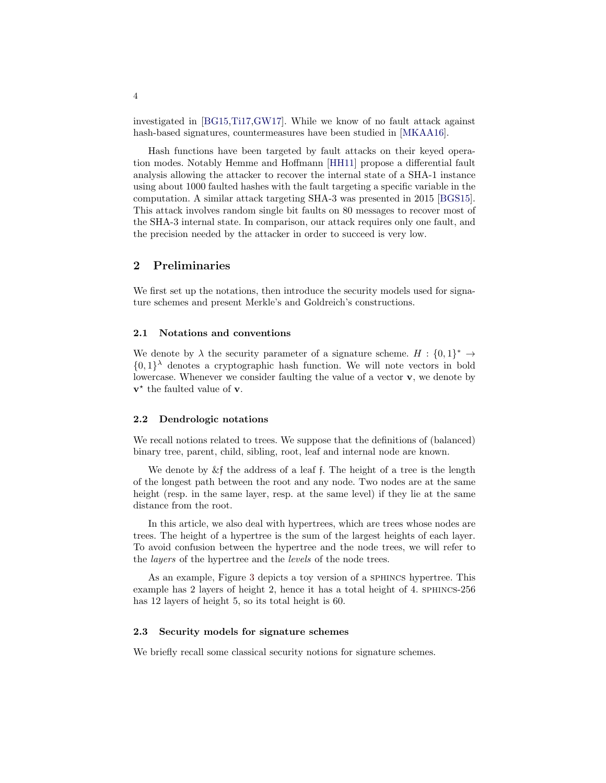<span id="page-3-1"></span>investigated in [\[BG15,](#page-19-8)[Ti17,](#page-20-8)[GW17\]](#page-19-9). While we know of no fault attack against hash-based signatures, countermeasures have been studied in [\[MKAA16\]](#page-20-9).

Hash functions have been targeted by fault attacks on their keyed operation modes. Notably Hemme and Hoffmann [\[HH11\]](#page-19-10) propose a differential fault analysis allowing the attacker to recover the internal state of a SHA-1 instance using about 1000 faulted hashes with the fault targeting a specific variable in the computation. A similar attack targeting SHA-3 was presented in 2015 [\[BGS15\]](#page-19-11). This attack involves random single bit faults on 80 messages to recover most of the SHA-3 internal state. In comparison, our attack requires only one fault, and the precision needed by the attacker in order to succeed is very low.

# <span id="page-3-0"></span>2 Preliminaries

We first set up the notations, then introduce the security models used for signature schemes and present Merkle's and Goldreich's constructions.

#### 2.1 Notations and conventions

We denote by  $\lambda$  the security parameter of a signature scheme.  $H: \{0,1\}^* \to$  $\{0,1\}^{\lambda}$  denotes a cryptographic hash function. We will note vectors in bold lowercase. Whenever we consider faulting the value of a vector v, we denote by  $\mathbf{v}^*$  the faulted value of  $\mathbf{v}$ .

#### 2.2 Dendrologic notations

We recall notions related to trees. We suppose that the definitions of (balanced) binary tree, parent, child, sibling, root, leaf and internal node are known.

We denote by  $&$ f the address of a leaf f. The height of a tree is the length of the longest path between the root and any node. Two nodes are at the same height (resp. in the same layer, resp. at the same level) if they lie at the same distance from the root.

In this article, we also deal with hypertrees, which are trees whose nodes are trees. The height of a hypertree is the sum of the largest heights of each layer. To avoid confusion between the hypertree and the node trees, we will refer to the layers of the hypertree and the levels of the node trees.

As an example, Figure [3](#page-8-0) depicts a toy version of a sphincs hypertree. This example has 2 layers of height 2, hence it has a total height of 4. sphincs-256 has 12 layers of height 5, so its total height is 60.

# 2.3 Security models for signature schemes

We briefly recall some classical security notions for signature schemes.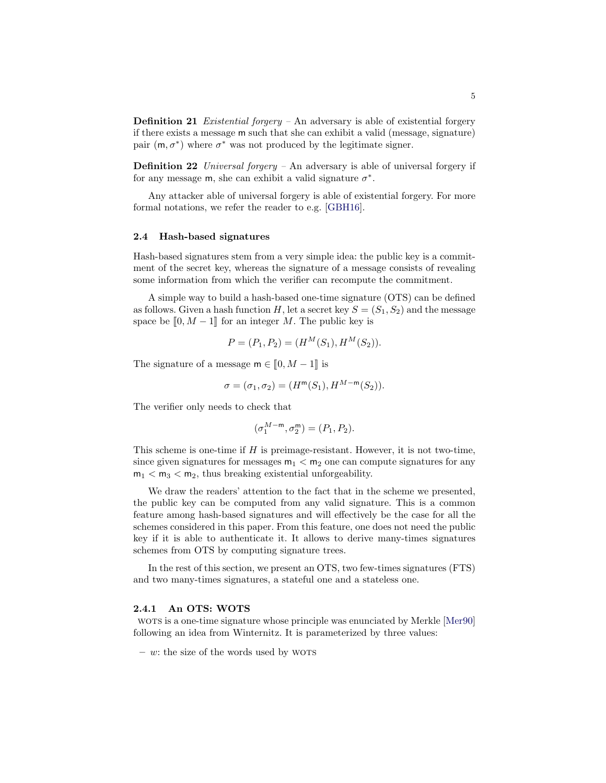<span id="page-4-1"></span>**Definition 21** Existential forgery – An adversary is able of existential forgery if there exists a message m such that she can exhibit a valid (message, signature) pair  $(m, \sigma^*)$  where  $\sigma^*$  was not produced by the legitimate signer.

Definition 22 Universal forgery – An adversary is able of universal forgery if for any message m, she can exhibit a valid signature  $\sigma^*$ .

Any attacker able of universal forgery is able of existential forgery. For more formal notations, we refer the reader to e.g. [\[GBH16\]](#page-19-6).

#### 2.4 Hash-based signatures

Hash-based signatures stem from a very simple idea: the public key is a commitment of the secret key, whereas the signature of a message consists of revealing some information from which the verifier can recompute the commitment.

A simple way to build a hash-based one-time signature (OTS) can be defined as follows. Given a hash function H, let a secret key  $S = (S_1, S_2)$  and the message space be  $[0, M - 1]$  for an integer M. The public key is

$$
P = (P_1, P_2) = (H^M(S_1), H^M(S_2)).
$$

The signature of a message  $m \in [0, M - 1]$  is

$$
\sigma = (\sigma_1, \sigma_2) = (H^{\mathsf{m}}(S_1), H^{M-\mathsf{m}}(S_2)).
$$

The verifier only needs to check that

$$
(\sigma_1^{M-{\mathsf{m}}},\sigma_2^{\mathsf{m}})=(P_1,P_2).
$$

This scheme is one-time if  $H$  is preimage-resistant. However, it is not two-time, since given signatures for messages  $m_1 < m_2$  one can compute signatures for any  $m_1 < m_3 < m_2$ , thus breaking existential unforgeability.

We draw the readers' attention to the fact that in the scheme we presented, the public key can be computed from any valid signature. This is a common feature among hash-based signatures and will effectively be the case for all the schemes considered in this paper. From this feature, one does not need the public key if it is able to authenticate it. It allows to derive many-times signatures schemes from OTS by computing signature trees.

In the rest of this section, we present an OTS, two few-times signatures (FTS) and two many-times signatures, a stateful one and a stateless one.

# <span id="page-4-0"></span>2.4.1 An OTS: WOTS

wots is a one-time signature whose principle was enunciated by Merkle [\[Mer90\]](#page-20-3) following an idea from Winternitz. It is parameterized by three values:

 $- w$ : the size of the words used by WOTS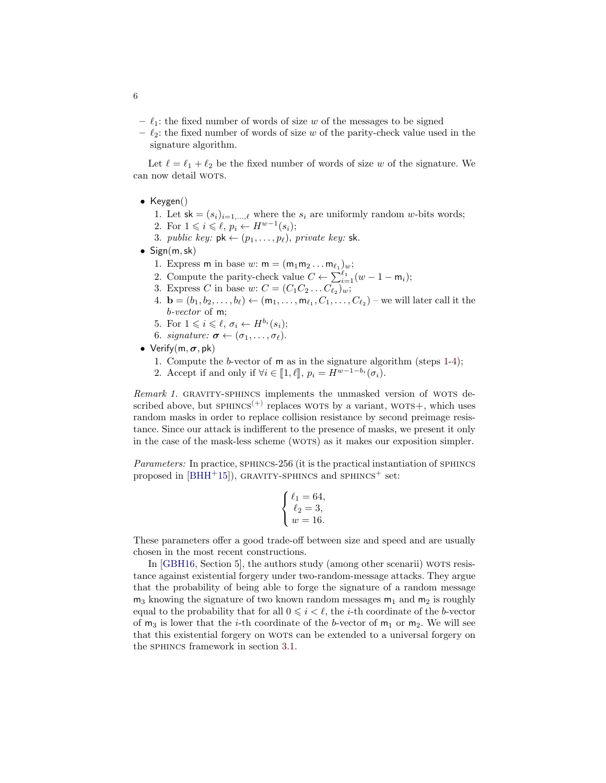- $\ell_1$ : the fixed number of words of size w of the messages to be signed
- $\ell_2$ : the fixed number of words of size w of the parity-check value used in the signature algorithm.

Let  $\ell = \ell_1 + \ell_2$  be the fixed number of words of size w of the signature. We can now detail wors.

- Keygen()
	- 1. Let  $sk = (s_i)_{i=1,\dots,\ell}$  where the  $s_i$  are uniformly random w-bits words;
	- 2. For  $1 \leqslant i \leqslant \ell, p_i \leftarrow H^{w-1}(s_i);$
	- 3. public key:  $pk \leftarrow (p_1, \ldots, p_\ell)$ , private key: sk.
- <span id="page-5-1"></span><span id="page-5-0"></span>• Sign $(m, sk)$ 
	- 1. Express m in base w:  $m = (m_1 m_2 ... m_{\ell_1})_w;$
	- 2. Compute the parity-check value  $C \leftarrow \sum_{i=1}^{\ell_1} (w 1 m_i);$
	- 3. Express C in base  $w: C = (C_1 C_2 ... C_{\ell_2})_w;$
	- 4.  $\mathbf{b} = (b_1, b_2, \ldots, b_\ell) \leftarrow (\mathsf{m}_1, \ldots, \mathsf{m}_{\ell_1}, C_1, \ldots, C_{\ell_2})$  we will later call it the b-vector of m;
	- 5. For  $1 \leqslant i \leqslant \ell, \sigma_i \leftarrow H^{b_i}(s_i);$
	- 6. signature:  $\sigma \leftarrow (\sigma_1, \ldots, \sigma_\ell)$ .
- Verify $(m, \sigma, pk)$ 
	- 1. Compute the b-vector of m as in the signature algorithm (steps [1-](#page-5-0)[4\)](#page-5-1);
	- 2. Accept if and only if  $\forall i \in [\![1, \ell]\!], p_i = H^{w-1-b_i}(\sigma_i).$

Remark 1. GRAVITY-SPHINCS implements the unmasked version of WOTS described above, but  $s$ PHINCS<sup>(+)</sup> replaces wors by a variant, wors+, which uses random masks in order to replace collision resistance by second preimage resistance. Since our attack is indifferent to the presence of masks, we present it only in the case of the mask-less scheme (wors) as it makes our exposition simpler.

Parameters: In practice, sphincs-256 (it is the practical instantiation of sphincs proposed in  $[BHH^+15]$  $[BHH^+15]$ , GRAVITY-SPHINCS and SPHINCS<sup>+</sup> set:

$$
\begin{cases} \ell_1 = 64, \\ \ell_2 = 3, \\ w = 16. \end{cases}
$$

These parameters offer a good trade-off between size and speed and are usually chosen in the most recent constructions.

In [\[GBH16,](#page-19-6) Section 5], the authors study (among other scenarii) wors resistance against existential forgery under two-random-message attacks. They argue that the probability of being able to forge the signature of a random message  $m_3$  knowing the signature of two known random messages  $m_1$  and  $m_2$  is roughly equal to the probability that for all  $0 \leq i \leq \ell$ , the *i*-th coordinate of the *b*-vector of  $m_3$  is lower that the *i*-th coordinate of the *b*-vector of  $m_1$  or  $m_2$ . We will see that this existential forgery on WOTS can be extended to a universal forgery on the sphincs framework in section [3.1.](#page-10-1)

<span id="page-5-2"></span>6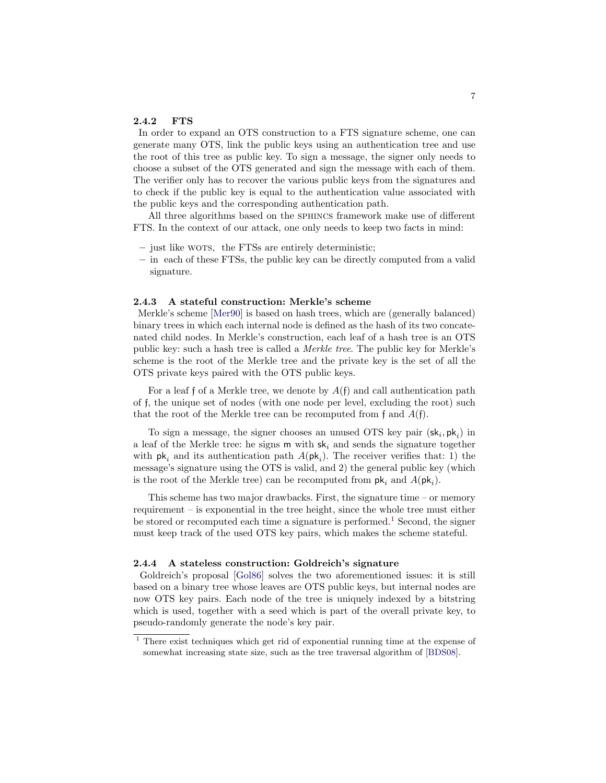## <span id="page-6-2"></span>2.4.2 FTS

In order to expand an OTS construction to a FTS signature scheme, one can generate many OTS, link the public keys using an authentication tree and use the root of this tree as public key. To sign a message, the signer only needs to choose a subset of the OTS generated and sign the message with each of them. The verifier only has to recover the various public keys from the signatures and to check if the public key is equal to the authentication value associated with the public keys and the corresponding authentication path.

All three algorithms based on the sphincs framework make use of different FTS. In the context of our attack, one only needs to keep two facts in mind:

- just like wots, the FTSs are entirely deterministic;
- in each of these FTSs, the public key can be directly computed from a valid signature.

#### <span id="page-6-1"></span>2.4.3 A stateful construction: Merkle's scheme

Merkle's scheme [\[Mer90\]](#page-20-3) is based on hash trees, which are (generally balanced) binary trees in which each internal node is defined as the hash of its two concatenated child nodes. In Merkle's construction, each leaf of a hash tree is an OTS public key: such a hash tree is called a Merkle tree. The public key for Merkle's scheme is the root of the Merkle tree and the private key is the set of all the OTS private keys paired with the OTS public keys.

For a leaf f of a Merkle tree, we denote by  $A(f)$  and call authentication path of f, the unique set of nodes (with one node per level, excluding the root) such that the root of the Merkle tree can be recomputed from f and  $A(f)$ .

To sign a message, the signer chooses an unused OTS key pair  $(\mathsf{sk}_i, \mathsf{pk}_i)$  in a leaf of the Merkle tree: he signs  $m$  with  $sk_i$  and sends the signature together with  $pk_i$  and its authentication path  $A(pk_i)$ . The receiver verifies that: 1) the message's signature using the OTS is valid, and 2) the general public key (which is the root of the Merkle tree) can be recomputed from  $pk_i$  and  $A(pk_i)$ .

This scheme has two major drawbacks. First, the signature time – or memory requirement – is exponential in the tree height, since the whole tree must either be stored or recomputed each time a signature is performed.<sup>[1](#page-6-0)</sup> Second, the signer must keep track of the used OTS key pairs, which makes the scheme stateful.

#### 2.4.4 A stateless construction: Goldreich's signature

Goldreich's proposal [\[Gol86\]](#page-19-0) solves the two aforementioned issues: it is still based on a binary tree whose leaves are OTS public keys, but internal nodes are now OTS key pairs. Each node of the tree is uniquely indexed by a bitstring which is used, together with a seed which is part of the overall private key, to pseudo-randomly generate the node's key pair.

<span id="page-6-0"></span><sup>1</sup> There exist techniques which get rid of exponential running time at the expense of somewhat increasing state size, such as the tree traversal algorithm of [\[BDS08\]](#page-19-12).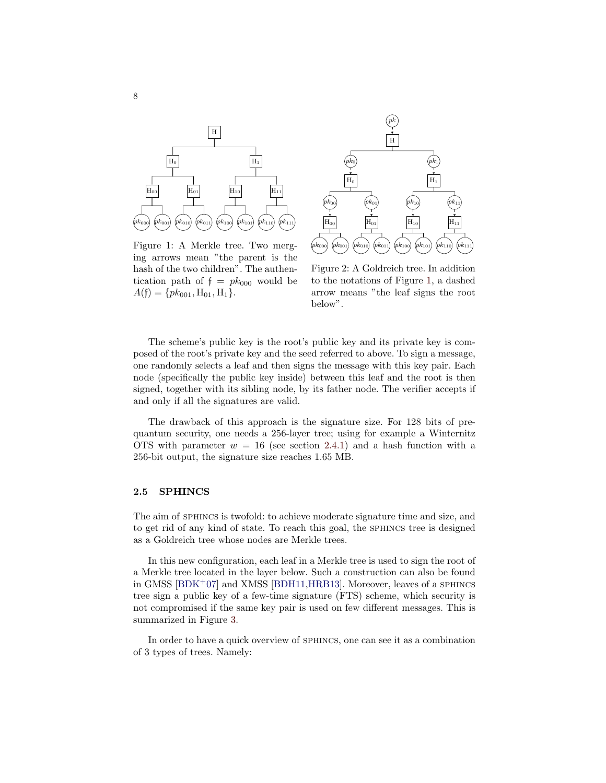<span id="page-7-1"></span><span id="page-7-0"></span>



Figure 1: A Merkle tree. Two merging arrows mean "the parent is the hash of the two children". The authentication path of  $f = pk_{000}$  would be  $A(\mathfrak{f}) = \{pk_{001}, H_{01}, H_1\}.$ 

Figure 2: A Goldreich tree. In addition to the notations of Figure [1,](#page-7-0) a dashed arrow means "the leaf signs the root below".

The scheme's public key is the root's public key and its private key is composed of the root's private key and the seed referred to above. To sign a message, one randomly selects a leaf and then signs the message with this key pair. Each node (specifically the public key inside) between this leaf and the root is then signed, together with its sibling node, by its father node. The verifier accepts if and only if all the signatures are valid.

The drawback of this approach is the signature size. For 128 bits of prequantum security, one needs a 256-layer tree; using for example a Winternitz OTS with parameter  $w = 16$  (see section [2.4.1\)](#page-4-0) and a hash function with a 256-bit output, the signature size reaches 1.65 MB.

# 2.5 SPHINCS

The aim of sphincs is twofold: to achieve moderate signature time and size, and to get rid of any kind of state. To reach this goal, the sphincs tree is designed as a Goldreich tree whose nodes are Merkle trees.

In this new configuration, each leaf in a Merkle tree is used to sign the root of a Merkle tree located in the layer below. Such a construction can also be found in GMSS  $[BDK^+07]$  $[BDK^+07]$  and XMSS  $[BDH11, HRB13]$  $[BDH11, HRB13]$ . Moreover, leaves of a sphincs tree sign a public key of a few-time signature (FTS) scheme, which security is not compromised if the same key pair is used on few different messages. This is summarized in Figure [3.](#page-8-0)

In order to have a quick overview of sphincs, one can see it as a combination of 3 types of trees. Namely: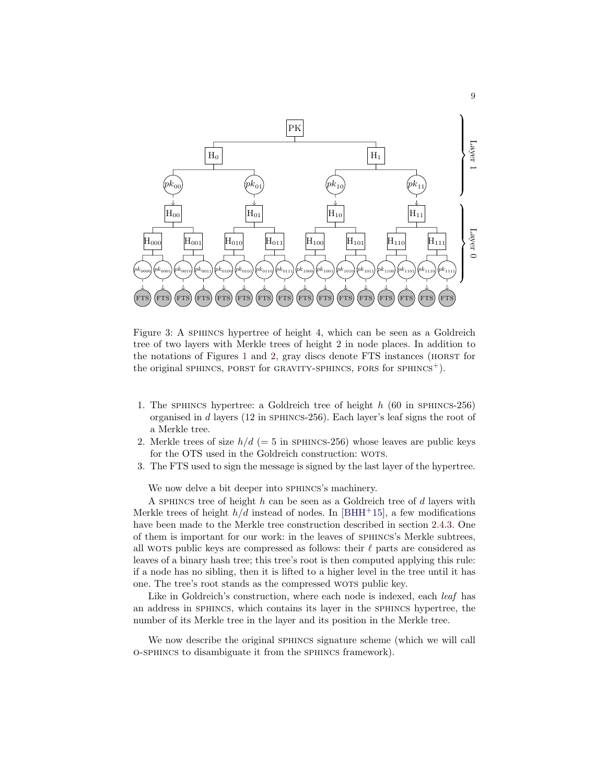<span id="page-8-1"></span><span id="page-8-0"></span>

Figure 3: A sphincs hypertree of height 4, which can be seen as a Goldreich tree of two layers with Merkle trees of height 2 in node places. In addition to the notations of Figures [1](#page-7-0) and [2,](#page-7-0) gray discs denote FTS instances (HORST for the original SPHINCS, PORST for GRAVITY-SPHINCS, FORS for SPHINCS<sup>+</sup>).

- 1. The sphincs hypertree: a Goldreich tree of height  $h$  (60 in sphincs-256) organised in d layers (12 in sphincs-256). Each layer's leaf signs the root of a Merkle tree.
- 2. Merkle trees of size  $h/d$  (= 5 in sphincs-256) whose leaves are public keys for the OTS used in the Goldreich construction: WOTS.
- 3. The FTS used to sign the message is signed by the last layer of the hypertree.

We now delve a bit deeper into sphincs's machinery.

A SPHINCS tree of height h can be seen as a Goldreich tree of d layers with Merkle trees of height  $h/d$  instead of nodes. In [\[BHH](#page-19-1)+15], a few modifications have been made to the Merkle tree construction described in section [2.4.3.](#page-6-1) One of them is important for our work: in the leaves of sphincs's Merkle subtrees, all wors public keys are compressed as follows: their  $\ell$  parts are considered as leaves of a binary hash tree; this tree's root is then computed applying this rule: if a node has no sibling, then it is lifted to a higher level in the tree until it has one. The tree's root stands as the compressed wors public key.

Like in Goldreich's construction, where each node is indexed, each *leaf* has an address in sphincs, which contains its layer in the sphincs hypertree, the number of its Merkle tree in the layer and its position in the Merkle tree.

We now describe the original sphincs signature scheme (which we will call o-sphincs to disambiguate it from the sphincs framework).

9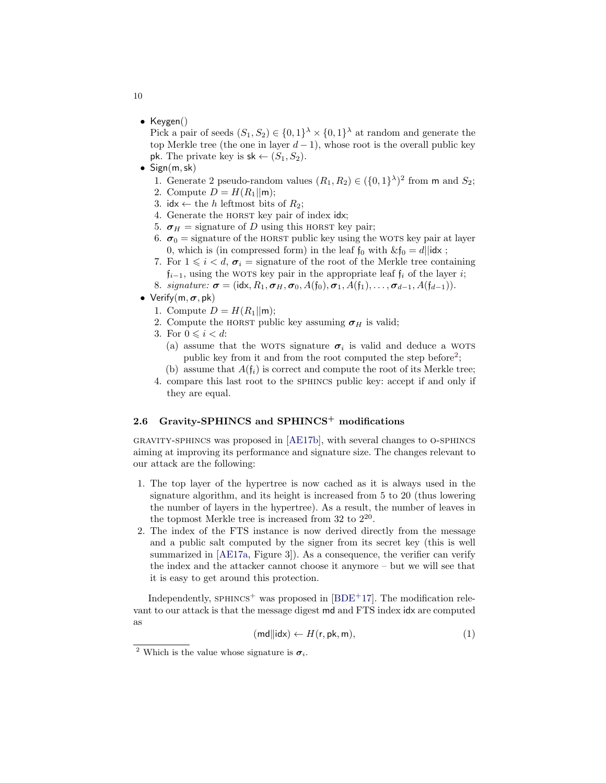• Keygen()

Pick a pair of seeds  $(S_1, S_2) \in \{0, 1\}^{\lambda} \times \{0, 1\}^{\lambda}$  at random and generate the top Merkle tree (the one in layer  $d-1$ ), whose root is the overall public key pk. The private key is  $sk \leftarrow (S_1, S_2)$ .

- Sign $(m, sk)$ 
	- 1. Generate 2 pseudo-random values  $(R_1, R_2) \in (\{0,1\}^{\lambda})^2$  from m and  $S_2$ ;
	- 2. Compute  $D = H(R_1||\mathbf{m});$
	- 3. idx ← the h leftmost bits of  $R_2$ ;
	- 4. Generate the HORST key pair of index idx;
	- 5.  $\sigma_H$  = signature of D using this HORST key pair;
	- 6.  $\sigma_0$  = signature of the HORST public key using the WOTS key pair at layer 0, which is (in compressed form) in the leaf  $f_0$  with  $\&f_0 = d||\mathbf{idx}$ ;
	- 7. For  $1 \leq i \leq d$ ,  $\sigma_i$  = signature of the root of the Merkle tree containing  $f_{i-1}$ , using the wors key pair in the appropriate leaf  $f_i$  of the layer *i*;
	- 8. signature:  $\sigma = (idx, R_1, \sigma_H, \sigma_0, A(f_0), \sigma_1, A(f_1), \ldots, \sigma_{d-1}, A(f_{d-1})).$
- Verify $(m, \sigma, pk)$ 
	- 1. Compute  $D = H(R_1||\mathbf{m});$
	- 2. Compute the HORST public key assuming  $\sigma_H$  is valid;
	- 3. For  $0 \leq i \leq d$ :
		- (a) assume that the wors signature  $\sigma_i$  is valid and deduce a wors public key from it and from the root computed the step before<sup>[2](#page-9-0)</sup>;
		- (b) assume that  $A(f_i)$  is correct and compute the root of its Merkle tree;
	- 4. compare this last root to the sphincs public key: accept if and only if they are equal.

# 2.6 Gravity-SPHINCS and SPHINCS<sup>+</sup> modifications

gravity-sphincs was proposed in [\[AE17b\]](#page-18-0), with several changes to o-sphincs aiming at improving its performance and signature size. The changes relevant to our attack are the following:

- 1. The top layer of the hypertree is now cached as it is always used in the signature algorithm, and its height is increased from 5 to 20 (thus lowering the number of layers in the hypertree). As a result, the number of leaves in the topmost Merkle tree is increased from  $32$  to  $2^{20}$ .
- 2. The index of the FTS instance is now derived directly from the message and a public salt computed by the signer from its secret key (this is well summarized in [\[AE17a,](#page-18-4) Figure 3]). As a consequence, the verifier can verify the index and the attacker cannot choose it anymore – but we will see that it is easy to get around this protection.

Independently,  $SPHINCS^+$  was proposed in [\[BDE](#page-18-1)<sup>+</sup>17]. The modification relevant to our attack is that the message digest md and FTS index idx are computed as

$$
(\text{md}||\text{idx}) \leftarrow H(\mathsf{r}, \mathsf{pk}, \mathsf{m}),\tag{1}
$$

<span id="page-9-1"></span>10

<span id="page-9-0"></span><sup>&</sup>lt;sup>2</sup> Which is the value whose signature is  $\sigma_i$ .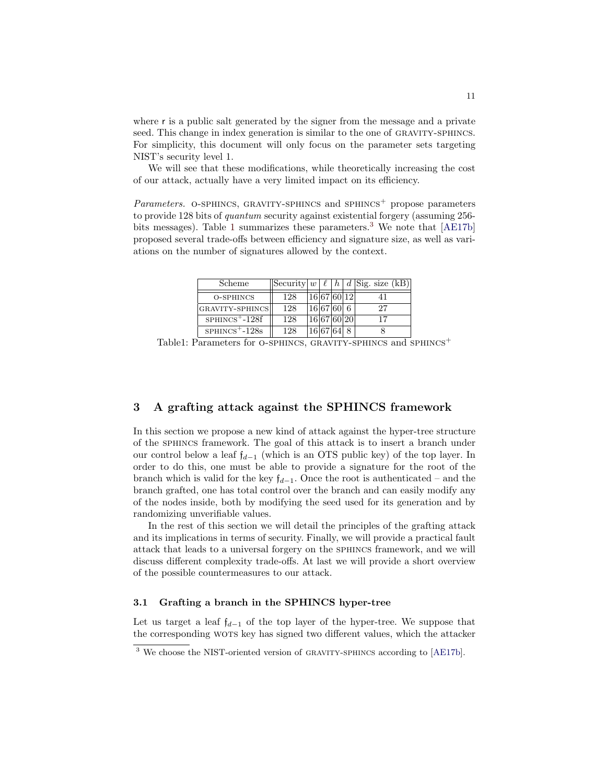<span id="page-10-4"></span>where r is a public salt generated by the signer from the message and a private seed. This change in index generation is similar to the one of GRAVITY-SPHINCS. For simplicity, this document will only focus on the parameter sets targeting NIST's security level 1.

We will see that these modifications, while theoretically increasing the cost of our attack, actually have a very limited impact on its efficiency.

*Parameters.* O-SPHINCS, GRAVITY-SPHINCS and SPHINCS<sup>+</sup> propose parameters to provide 128 bits of quantum security against existential forgery (assuming 256- bits messages). Table [1](#page-10-2) summarizes these parameters.<sup>[3](#page-10-3)</sup> We note that  $[AE17b]$ proposed several trade-offs between efficiency and signature size, as well as variations on the number of signatures allowed by the context.

<span id="page-10-2"></span>

| Scheme                                     | Security w |             |    | $\ell \mid h \mid d$ Sig. size (kB) |
|--------------------------------------------|------------|-------------|----|-------------------------------------|
| O-SPHINCS                                  | 128        | 16 67 60 12 |    |                                     |
| GRAVITY-SPHINCS                            | 128        | 16 67 60 6  |    | 27                                  |
| $s$ PHINCS <sup><math>+</math></sup> -128f | 128        | 16 67 60 20 |    | 17                                  |
| $SPHINCS^+ - 128s$                         | 128        | 16 67 64    | -8 |                                     |

Table1: Parameters for O-SPHINCS, GRAVITY-SPHINCS and SPHINCS<sup>+</sup>

# <span id="page-10-0"></span>3 A grafting attack against the SPHINCS framework

In this section we propose a new kind of attack against the hyper-tree structure of the sphincs framework. The goal of this attack is to insert a branch under our control below a leaf  $f_{d-1}$  (which is an OTS public key) of the top layer. In order to do this, one must be able to provide a signature for the root of the branch which is valid for the key  $f_{d-1}$ . Once the root is authenticated – and the branch grafted, one has total control over the branch and can easily modify any of the nodes inside, both by modifying the seed used for its generation and by randomizing unverifiable values.

In the rest of this section we will detail the principles of the grafting attack and its implications in terms of security. Finally, we will provide a practical fault attack that leads to a universal forgery on the sphincs framework, and we will discuss different complexity trade-offs. At last we will provide a short overview of the possible countermeasures to our attack.

# <span id="page-10-1"></span>3.1 Grafting a branch in the SPHINCS hyper-tree

Let us target a leaf  $f_{d-1}$  of the top layer of the hyper-tree. We suppose that the corresponding wors key has signed two different values, which the attacker

<span id="page-10-3"></span><sup>&</sup>lt;sup>3</sup> We choose the NIST-oriented version of GRAVITY-SPHINCS according to [\[AE17b\]](#page-18-0).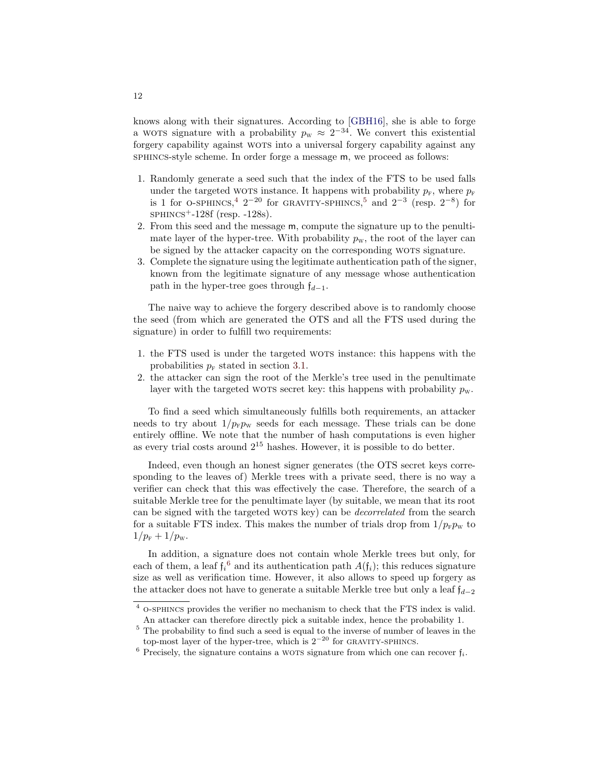<span id="page-11-3"></span>knows along with their signatures. According to [\[GBH16\]](#page-19-6), she is able to forge a wors signature with a probability  $p_w \approx 2^{-34}$ . We convert this existential forgery capability against wors into a universal forgery capability against any sphincs-style scheme. In order forge a message m, we proceed as follows:

- 1. Randomly generate a seed such that the index of the FTS to be used falls under the targeted wors instance. It happens with probability  $p_F$ , where  $p_F$ is 1 for O-SPHINCS,<sup>[4](#page-11-0)</sup> 2<sup>-20</sup> for GRAVITY-SPHINCS,<sup>[5](#page-11-1)</sup> and 2<sup>-3</sup> (resp. 2<sup>-8</sup>) for  $s$ PHINCS<sup>+</sup>-128f (resp.  $-128s$ ).
- 2. From this seed and the message m, compute the signature up to the penultimate layer of the hyper-tree. With probability  $p_w$ , the root of the layer can be signed by the attacker capacity on the corresponding wors signature.
- 3. Complete the signature using the legitimate authentication path of the signer, known from the legitimate signature of any message whose authentication path in the hyper-tree goes through  $f_{d-1}$ .

The naive way to achieve the forgery described above is to randomly choose the seed (from which are generated the OTS and all the FTS used during the signature) in order to fulfill two requirements:

- 1. the FTS used is under the targeted wors instance: this happens with the probabilities  $p_{\rm F}$  stated in section [3.1.](#page-10-1)
- 2. the attacker can sign the root of the Merkle's tree used in the penultimate layer with the targeted wors secret key: this happens with probability  $p_w$ .

To find a seed which simultaneously fulfills both requirements, an attacker needs to try about  $1/p_{\rm F}p_{\rm w}$  seeds for each message. These trials can be done entirely offline. We note that the number of hash computations is even higher as every trial costs around  $2^{15}$  hashes. However, it is possible to do better.

Indeed, even though an honest signer generates (the OTS secret keys corresponding to the leaves of) Merkle trees with a private seed, there is no way a verifier can check that this was effectively the case. Therefore, the search of a suitable Merkle tree for the penultimate layer (by suitable, we mean that its root can be signed with the targeted wors key) can be *decorrelated* from the search for a suitable FTS index. This makes the number of trials drop from  $1/p_{\rm F}p_{\rm w}$  to  $1/p_{\rm F} + 1/p_{\rm W}$ .

In addition, a signature does not contain whole Merkle trees but only, for each of them, a leaf  $f_i^6$  $f_i^6$  and its authentication path  $A(f_i)$ ; this reduces signature size as well as verification time. However, it also allows to speed up forgery as the attacker does not have to generate a suitable Merkle tree but only a leaf  $f_{d-2}$ 

<span id="page-11-0"></span><sup>4</sup> o-sphincs provides the verifier no mechanism to check that the FTS index is valid. An attacker can therefore directly pick a suitable index, hence the probability 1.

<span id="page-11-1"></span> $5$  The probability to find such a seed is equal to the inverse of number of leaves in the top-most layer of the hyper-tree, which is  $2^{-20}$  for GRAVITY-SPHINCS.

<span id="page-11-2"></span> $6$  Precisely, the signature contains a WOTS signature from which one can recover  $f_i$ .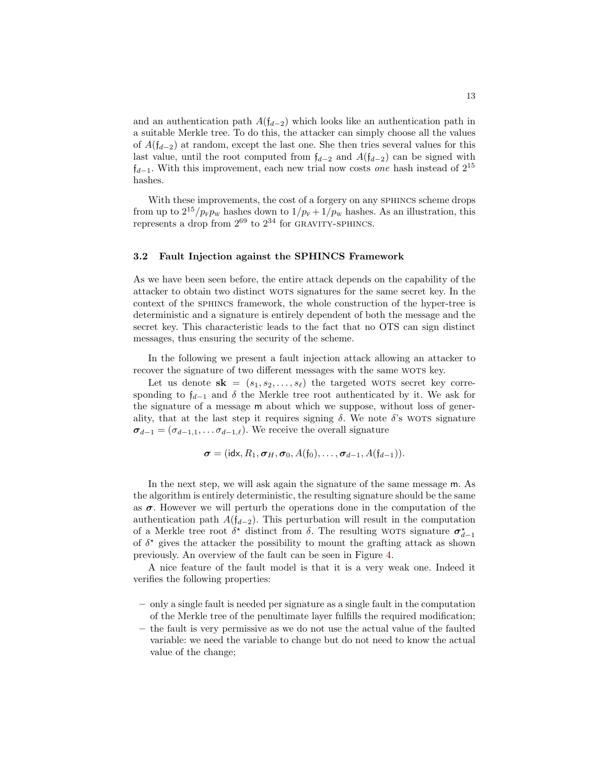and an authentication path  $A(f_{d-2})$  which looks like an authentication path in a suitable Merkle tree. To do this, the attacker can simply choose all the values of  $A(f_{d-2})$  at random, except the last one. She then tries several values for this last value, until the root computed from  $f_{d-2}$  and  $A(f_{d-2})$  can be signed with  $f_{d-1}$ . With this improvement, each new trial now costs *one* hash instead of  $2^{15}$ hashes.

With these improvements, the cost of a forgery on any sphincs scheme drops from up to  $2^{15}/p_{\rm F}p_{\rm W}$  hashes down to  $1/p_{\rm F}+1/p_{\rm W}$  hashes. As an illustration, this represents a drop from  $2^{69}$  to  $2^{34}$  for GRAVITY-SPHINCS.

# 3.2 Fault Injection against the SPHINCS Framework

As we have been seen before, the entire attack depends on the capability of the attacker to obtain two distinct wots signatures for the same secret key. In the context of the sphincs framework, the whole construction of the hyper-tree is deterministic and a signature is entirely dependent of both the message and the secret key. This characteristic leads to the fact that no OTS can sign distinct messages, thus ensuring the security of the scheme.

In the following we present a fault injection attack allowing an attacker to recover the signature of two different messages with the same wors key.

Let us denote  $\mathbf{sk} = (s_1, s_2, \ldots, s_\ell)$  the targeted WOTS secret key corresponding to  $f_{d-1}$  and  $\delta$  the Merkle tree root authenticated by it. We ask for the signature of a message m about which we suppose, without loss of generality, that at the last step it requires signing  $\delta$ . We note  $\delta$ 's wors signature  $\sigma_{d-1} = (\sigma_{d-1,1}, \ldots, \sigma_{d-1,\ell}).$  We receive the overall signature

$$
\boldsymbol{\sigma} = (\mathsf{idx}, R_1, \boldsymbol{\sigma}_H, \boldsymbol{\sigma}_0, A(f_0), \dots, \boldsymbol{\sigma}_{d-1}, A(f_{d-1})).
$$

In the next step, we will ask again the signature of the same message m. As the algorithm is entirely deterministic, the resulting signature should be the same as  $\sigma$ . However we will perturb the operations done in the computation of the authentication path  $A(f_{d-2})$ . This perturbation will result in the computation of a Merkle tree root  $\delta^*$  distinct from  $\delta$ . The resulting wors signature  $\sigma_{d-1}^*$ of  $\delta^*$  gives the attacker the possibility to mount the grafting attack as shown previously. An overview of the fault can be seen in Figure [4.](#page-13-0)

A nice feature of the fault model is that it is a very weak one. Indeed it verifies the following properties:

- only a single fault is needed per signature as a single fault in the computation of the Merkle tree of the penultimate layer fulfills the required modification;
- the fault is very permissive as we do not use the actual value of the faulted variable: we need the variable to change but do not need to know the actual value of the change;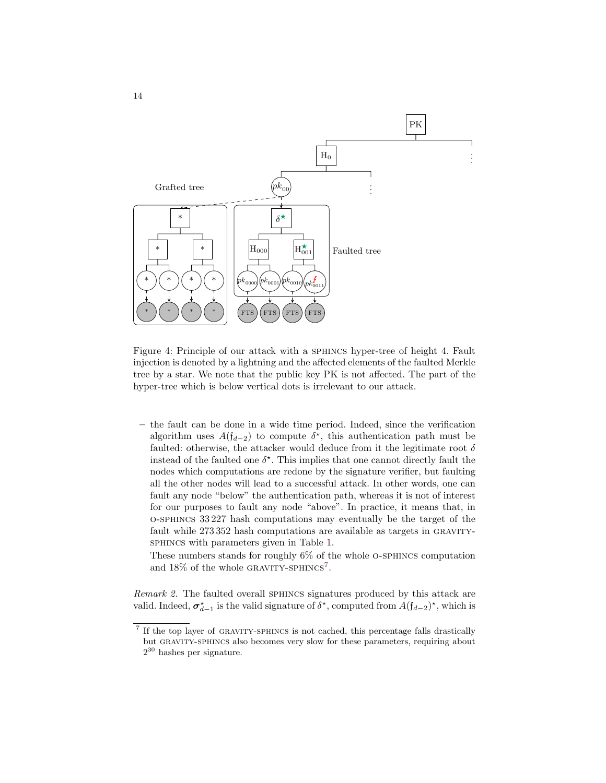<span id="page-13-0"></span>

Figure 4: Principle of our attack with a sphincs hyper-tree of height 4. Fault injection is denoted by a lightning and the affected elements of the faulted Merkle tree by a star. We note that the public key PK is not affected. The part of the hyper-tree which is below vertical dots is irrelevant to our attack.

– the fault can be done in a wide time period. Indeed, since the verification algorithm uses  $A(f_{d-2})$  to compute  $\delta^*$ , this authentication path must be faulted: otherwise, the attacker would deduce from it the legitimate root  $\delta$ instead of the faulted one  $\delta^*$ . This implies that one cannot directly fault the nodes which computations are redone by the signature verifier, but faulting all the other nodes will lead to a successful attack. In other words, one can fault any node "below" the authentication path, whereas it is not of interest for our purposes to fault any node "above". In practice, it means that, in o-sphincs 33 227 hash computations may eventually be the target of the fault while 273 352 hash computations are available as targets in gravitysphincs with parameters given in Table [1.](#page-10-2)

These numbers stands for roughly 6% of the whole o-sphincs computation and  $18\%$  of the whole GRAVITY-SPHINCS<sup>[7](#page-13-1)</sup>.

Remark 2. The faulted overall SPHINCS signatures produced by this attack are valid. Indeed,  $\sigma_{d-1}^*$  is the valid signature of  $\delta^*$ , computed from  $A(\mathfrak{f}_{d-2})^*$ , which is

<span id="page-13-1"></span><sup>&</sup>lt;sup>7</sup> If the top layer of GRAVITY-SPHINCS is not cached, this percentage falls drastically but gravity-sphincs also becomes very slow for these parameters, requiring about 2 <sup>30</sup> hashes per signature.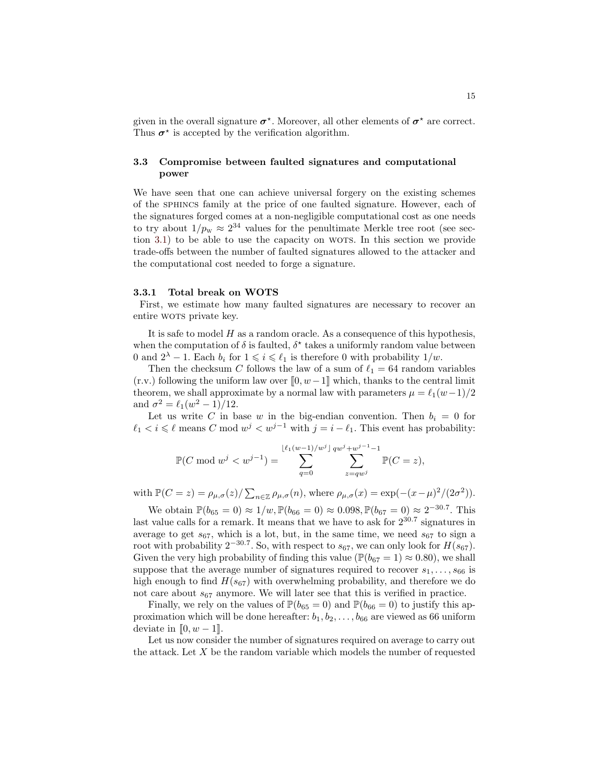given in the overall signature  $\sigma^*$ . Moreover, all other elements of  $\sigma^*$  are correct. Thus  $\sigma^*$  is accepted by the verification algorithm.

# 3.3 Compromise between faulted signatures and computational power

We have seen that one can achieve universal forgery on the existing schemes of the sphincs family at the price of one faulted signature. However, each of the signatures forged comes at a non-negligible computational cost as one needs to try about  $1/p_w \approx 2^{34}$  values for the penultimate Merkle tree root (see section  $3.1$ ) to be able to use the capacity on WOTS. In this section we provide trade-offs between the number of faulted signatures allowed to the attacker and the computational cost needed to forge a signature.

## 3.3.1 Total break on WOTS

First, we estimate how many faulted signatures are necessary to recover an entire wors private key.

It is safe to model H as a random oracle. As a consequence of this hypothesis, when the computation of  $\delta$  is faulted,  $\delta^*$  takes a uniformly random value between 0 and  $2^{\lambda} - 1$ . Each  $b_i$  for  $1 \leq i \leq \ell_1$  is therefore 0 with probability  $1/w$ .

Then the checksum C follows the law of a sum of  $\ell_1 = 64$  random variables (r.v.) following the uniform law over  $\llbracket 0, w-1 \rrbracket$  which, thanks to the central limit theorem, we shall approximate by a normal law with parameters  $\mu = \ell_1(w-1)/2$ and  $\sigma^2 = \ell_1(w^2 - 1)/12$ .

Let us write C in base w in the big-endian convention. Then  $b_i = 0$  for  $\ell_1 < i \leq \ell$  means C mod  $w^j < w^{j-1}$  with  $j = i - \ell_1$ . This event has probability:

$$
\mathbb{P}(C \bmod w^{j} < w^{j-1}) = \sum_{q=0}^{\lfloor \ell_1(w-1)/w^{j} \rfloor} \sum_{z=qw^{j}}^{qw^{j}+w^{j-1}-1} \mathbb{P}(C=z),
$$

with  $\mathbb{P}(C = z) = \rho_{\mu,\sigma}(z) / \sum_{n \in \mathbb{Z}} \rho_{\mu,\sigma}(n)$ , where  $\rho_{\mu,\sigma}(x) = \exp(-(x-\mu)^2/(2\sigma^2))$ .

We obtain  $\mathbb{P}(b_{65} = 0) \approx 1/w, \mathbb{P}(b_{66} = 0) \approx 0.098, \mathbb{P}(b_{67} = 0) \approx 2^{-30.7}$ . This last value calls for a remark. It means that we have to ask for  $2^{30.7}$  signatures in average to get  $s_{67}$ , which is a lot, but, in the same time, we need  $s_{67}$  to sign a root with probability  $2^{-30.7}$ . So, with respect to  $s_{67}$ , we can only look for  $H(s_{67})$ . Given the very high probability of finding this value ( $\mathbb{P}(b_{67} = 1) \approx 0.80$ ), we shall suppose that the average number of signatures required to recover  $s_1, \ldots, s_{66}$  is high enough to find  $H(s_{67})$  with overwhelming probability, and therefore we do not care about  $s_{67}$  anymore. We will later see that this is verified in practice.

Finally, we rely on the values of  $\mathbb{P}(b_{65} = 0)$  and  $\mathbb{P}(b_{66} = 0)$  to justify this approximation which will be done hereafter:  $b_1, b_2, \ldots, b_{66}$  are viewed as 66 uniform deviate in  $[0, w-1]$ .

Let us now consider the number of signatures required on average to carry out the attack. Let X be the random variable which models the number of requested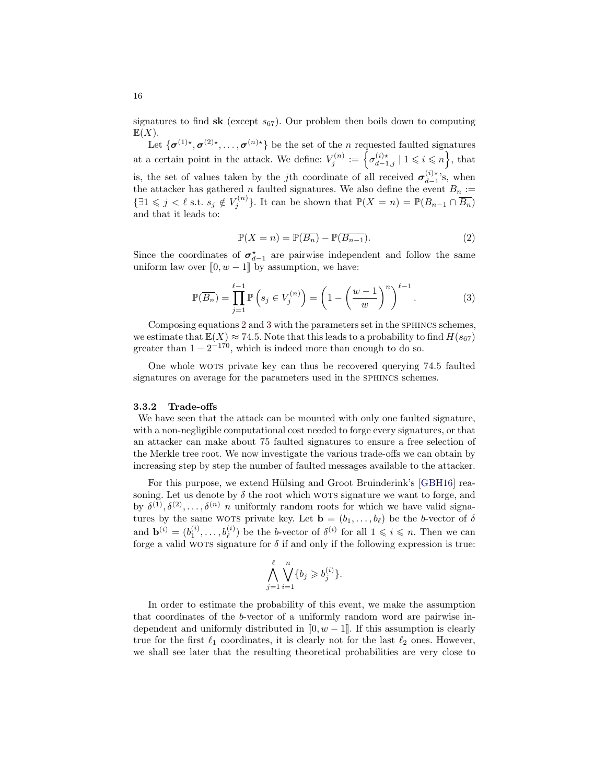<span id="page-15-2"></span>signatures to find sk (except  $s_{67}$ ). Our problem then boils down to computing  $E(X)$ .

Let  $\{\sigma^{(1)*}, \sigma^{(2)*}, \ldots, \sigma^{(n)*}\}\$ be the set of the n requested faulted signatures at a certain point in the attack. We define:  $V_j^{(n)} := \left\{ \sigma_{d-1,j}^{(i)\star} \mid 1 \leqslant i \leqslant n \right\}$ , that is, the set of values taken by the jth coordinate of all received  $\sigma_{d-1}^{(i)\ast}$  $\sum_{d=1}^{(i)\star}$ 's, when the attacker has gathered n faulted signatures. We also define the event  $B_n :=$  $\{\exists 1 \leqslant j < \ell \text{ s.t. } s_j \notin V_j^{(n)}\}.$  It can be shown that  $\mathbb{P}(X = n) = \mathbb{P}(B_{n-1} \cap \overline{B_n})$ and that it leads to:

<span id="page-15-0"></span>
$$
\mathbb{P}(X=n) = \mathbb{P}(\overline{B_n}) - \mathbb{P}(\overline{B_{n-1}}). \tag{2}
$$

Since the coordinates of  $\sigma_{d-1}^{\star}$  are pairwise independent and follow the same uniform law over  $\llbracket 0, w - 1 \rrbracket$  by assumption, we have:

<span id="page-15-1"></span>
$$
\mathbb{P}(\overline{B_n}) = \prod_{j=1}^{\ell-1} \mathbb{P}\left(s_j \in V_j^{(n)}\right) = \left(1 - \left(\frac{w-1}{w}\right)^n\right)^{\ell-1}.\tag{3}
$$

Composing equations [2](#page-15-0) and [3](#page-15-1) with the parameters set in the sphincs schemes, we estimate that  $\mathbb{E}(X) \approx 74.5$ . Note that this leads to a probability to find  $H(s_{67})$ greater than  $1 - 2^{-170}$ , which is indeed more than enough to do so.

One whole wots private key can thus be recovered querying 74.5 faulted signatures on average for the parameters used in the sphincs schemes.

## 3.3.2 Trade-offs

We have seen that the attack can be mounted with only one faulted signature, with a non-negligible computational cost needed to forge every signatures, or that an attacker can make about 75 faulted signatures to ensure a free selection of the Merkle tree root. We now investigate the various trade-offs we can obtain by increasing step by step the number of faulted messages available to the attacker.

For this purpose, we extend Hülsing and Groot Bruinderink's [\[GBH16\]](#page-19-6) reasoning. Let us denote by  $\delta$  the root which wors signature we want to forge, and by  $\delta^{(1)}, \delta^{(2)}, \ldots, \delta^{(n)}$  *n* uniformly random roots for which we have valid signatures by the same wors private key. Let  $\mathbf{b} = (b_1, \ldots, b_\ell)$  be the b-vector of  $\delta$ and  $\mathbf{b}^{(i)} = (b_1^{(i)}, \ldots, b_\ell^{(i)})$  be the b-vector of  $\delta^{(i)}$  for all  $1 \leq i \leq n$ . Then we can forge a valid wors signature for  $\delta$  if and only if the following expression is true:

$$
\bigwedge_{j=1}^{\ell} \bigvee_{i=1}^{n} \{b_j \geqslant b_j^{(i)}\}.
$$

In order to estimate the probability of this event, we make the assumption that coordinates of the b-vector of a uniformly random word are pairwise independent and uniformly distributed in  $[0, w-1]$ . If this assumption is clearly true for the first  $\ell_1$  coordinates, it is clearly not for the last  $\ell_2$  ones. However, we shall see later that the resulting theoretical probabilities are very close to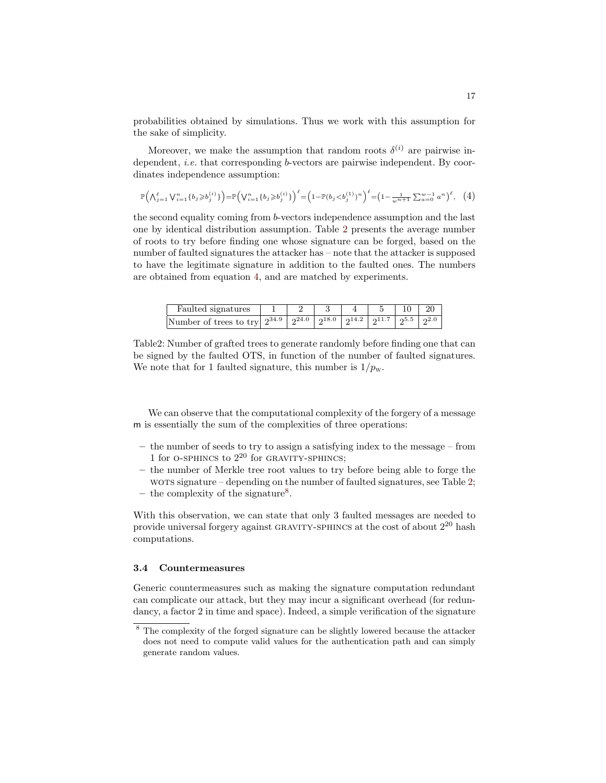probabilities obtained by simulations. Thus we work with this assumption for the sake of simplicity.

Moreover, we make the assumption that random roots  $\delta^{(i)}$  are pairwise independent, *i.e.* that corresponding *b*-vectors are pairwise independent. By coordinates independence assumption:

<span id="page-16-2"></span>
$$
\mathbb{P}\left(\bigwedge_{j=1}^{\ell} \bigvee_{i=1}^{n} \{b_{j} \geqslant b_{j}^{(i)}\}\right) = \mathbb{P}\left(\bigvee_{i=1}^{n} \{b_{j} \geqslant b_{j}^{(i)}\}\right)^{\ell} = \left(1 - \mathbb{P}(b_{j} < b_{j}^{(1)})^{n}\right)^{\ell} = \left(1 - \frac{1}{w^{n+1}} \sum_{a=0}^{w-1} a^{n}\right)^{\ell}, \quad (4)
$$

the second equality coming from b-vectors independence assumption and the last one by identical distribution assumption. Table [2](#page-16-1) presents the average number of roots to try before finding one whose signature can be forged, based on the number of faulted signatures the attacker has – note that the attacker is supposed to have the legitimate signature in addition to the faulted ones. The numbers are obtained from equation [4,](#page-16-2) and are matched by experiments.

<span id="page-16-1"></span>

| Faulted signatures                                                                                                |  |  |  |  |
|-------------------------------------------------------------------------------------------------------------------|--|--|--|--|
| Number of trees to try   $2^{34.9}$   $2^{24.0}$   $2^{18.0}$   $2^{14.2}$   $2^{11.7}$   $2^{5.5}$   $2^{2.0}$ . |  |  |  |  |

Table2: Number of grafted trees to generate randomly before finding one that can be signed by the faulted OTS, in function of the number of faulted signatures. We note that for 1 faulted signature, this number is  $1/p_w$ .

We can observe that the computational complexity of the forgery of a message m is essentially the sum of the complexities of three operations:

- the number of seeds to try to assign a satisfying index to the message from 1 for O-SPHINCS to  $2^{20}$  for GRAVITY-SPHINCS;
- the number of Merkle tree root values to try before being able to forge the wots signature – depending on the number of faulted signatures, see Table [2;](#page-16-1)
- $-$  the complexity of the signature<sup>[8](#page-16-3)</sup>.

With this observation, we can state that only 3 faulted messages are needed to provide universal forgery against GRAVITY-SPHINCS at the cost of about  $2^{20}$  hash computations.

#### <span id="page-16-0"></span>3.4 Countermeasures

Generic countermeasures such as making the signature computation redundant can complicate our attack, but they may incur a significant overhead (for redundancy, a factor 2 in time and space). Indeed, a simple verification of the signature

<span id="page-16-3"></span><sup>8</sup> The complexity of the forged signature can be slightly lowered because the attacker does not need to compute valid values for the authentication path and can simply generate random values.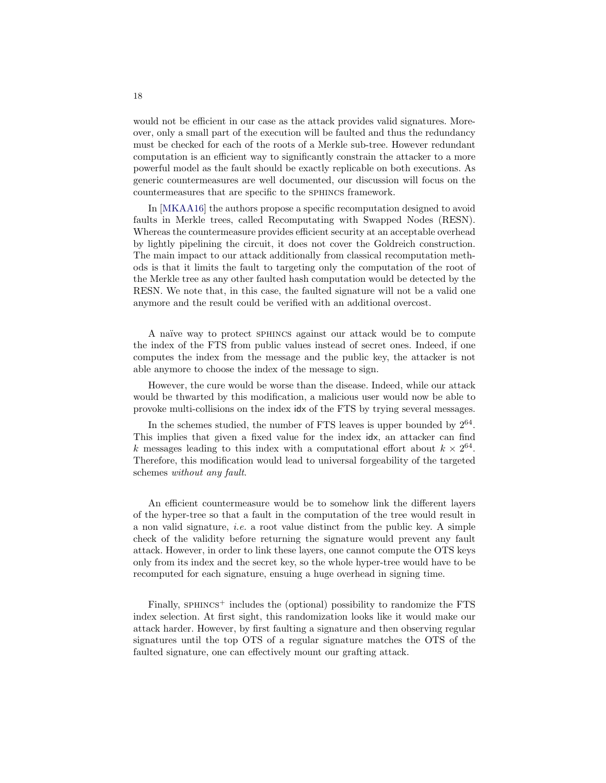<span id="page-17-0"></span>would not be efficient in our case as the attack provides valid signatures. Moreover, only a small part of the execution will be faulted and thus the redundancy must be checked for each of the roots of a Merkle sub-tree. However redundant computation is an efficient way to significantly constrain the attacker to a more powerful model as the fault should be exactly replicable on both executions. As generic countermeasures are well documented, our discussion will focus on the countermeasures that are specific to the sphincs framework.

In [\[MKAA16\]](#page-20-9) the authors propose a specific recomputation designed to avoid faults in Merkle trees, called Recomputating with Swapped Nodes (RESN). Whereas the countermeasure provides efficient security at an acceptable overhead by lightly pipelining the circuit, it does not cover the Goldreich construction. The main impact to our attack additionally from classical recomputation methods is that it limits the fault to targeting only the computation of the root of the Merkle tree as any other faulted hash computation would be detected by the RESN. We note that, in this case, the faulted signature will not be a valid one anymore and the result could be verified with an additional overcost.

A naïve way to protect SPHINCS against our attack would be to compute the index of the FTS from public values instead of secret ones. Indeed, if one computes the index from the message and the public key, the attacker is not able anymore to choose the index of the message to sign.

However, the cure would be worse than the disease. Indeed, while our attack would be thwarted by this modification, a malicious user would now be able to provoke multi-collisions on the index idx of the FTS by trying several messages.

In the schemes studied, the number of FTS leaves is upper bounded by  $2^{64}$ . This implies that given a fixed value for the index idx, an attacker can find k messages leading to this index with a computational effort about  $k \times 2^{64}$ . Therefore, this modification would lead to universal forgeability of the targeted schemes without any fault.

An efficient countermeasure would be to somehow link the different layers of the hyper-tree so that a fault in the computation of the tree would result in a non valid signature, *i.e.* a root value distinct from the public key. A simple check of the validity before returning the signature would prevent any fault attack. However, in order to link these layers, one cannot compute the OTS keys only from its index and the secret key, so the whole hyper-tree would have to be recomputed for each signature, ensuing a huge overhead in signing time.

Finally,  $SPHINCS^+$  includes the (optional) possibility to randomize the FTS index selection. At first sight, this randomization looks like it would make our attack harder. However, by first faulting a signature and then observing regular signatures until the top OTS of a regular signature matches the OTS of the faulted signature, one can effectively mount our grafting attack.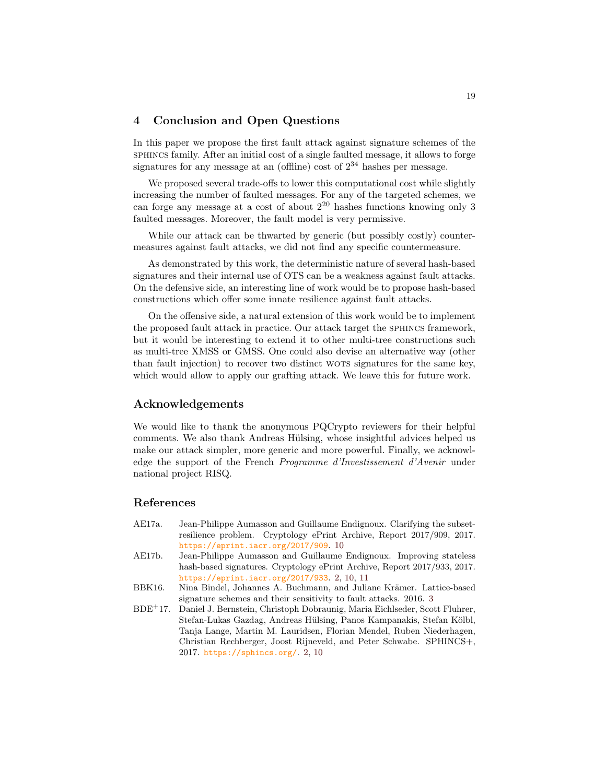# <span id="page-18-2"></span>4 Conclusion and Open Questions

In this paper we propose the first fault attack against signature schemes of the sphincs family. After an initial cost of a single faulted message, it allows to forge signatures for any message at an (offline) cost of  $2^{34}$  hashes per message.

We proposed several trade-offs to lower this computational cost while slightly increasing the number of faulted messages. For any of the targeted schemes, we can forge any message at a cost of about  $2^{20}$  hashes functions knowing only 3 faulted messages. Moreover, the fault model is very permissive.

While our attack can be thwarted by generic (but possibly costly) countermeasures against fault attacks, we did not find any specific countermeasure.

As demonstrated by this work, the deterministic nature of several hash-based signatures and their internal use of OTS can be a weakness against fault attacks. On the defensive side, an interesting line of work would be to propose hash-based constructions which offer some innate resilience against fault attacks.

On the offensive side, a natural extension of this work would be to implement the proposed fault attack in practice. Our attack target the sphincs framework, but it would be interesting to extend it to other multi-tree constructions such as multi-tree XMSS or GMSS. One could also devise an alternative way (other than fault injection) to recover two distinct wors signatures for the same key, which would allow to apply our grafting attack. We leave this for future work.

# Acknowledgements

We would like to thank the anonymous PQCrypto reviewers for their helpful comments. We also thank Andreas Hülsing, whose insightful advices helped us make our attack simpler, more generic and more powerful. Finally, we acknowledge the support of the French Programme d'Investissement d'Avenir under national project RISQ.

# References

- <span id="page-18-4"></span>AE17a. Jean-Philippe Aumasson and Guillaume Endignoux. Clarifying the subsetresilience problem. Cryptology ePrint Archive, Report 2017/909, 2017. <https://eprint.iacr.org/2017/909>. [10](#page-9-1)
- <span id="page-18-0"></span>AE17b. Jean-Philippe Aumasson and Guillaume Endignoux. Improving stateless hash-based signatures. Cryptology ePrint Archive, Report 2017/933, 2017. <https://eprint.iacr.org/2017/933>. [2,](#page-1-0) [10,](#page-9-1) [11](#page-10-4)
- <span id="page-18-3"></span>BBK16. Nina Bindel, Johannes A. Buchmann, and Juliane Krämer. Lattice-based signature schemes and their sensitivity to fault attacks. 2016. [3](#page-2-0)
- <span id="page-18-1"></span>BDE<sup>+</sup>17. Daniel J. Bernstein, Christoph Dobraunig, Maria Eichlseder, Scott Fluhrer, Stefan-Lukas Gazdag, Andreas Hülsing, Panos Kampanakis, Stefan Kölbl, Tanja Lange, Martin M. Lauridsen, Florian Mendel, Ruben Niederhagen, Christian Rechberger, Joost Rijneveld, and Peter Schwabe. SPHINCS+, 2017. <https://sphincs.org/>. [2,](#page-1-0) [10](#page-9-1)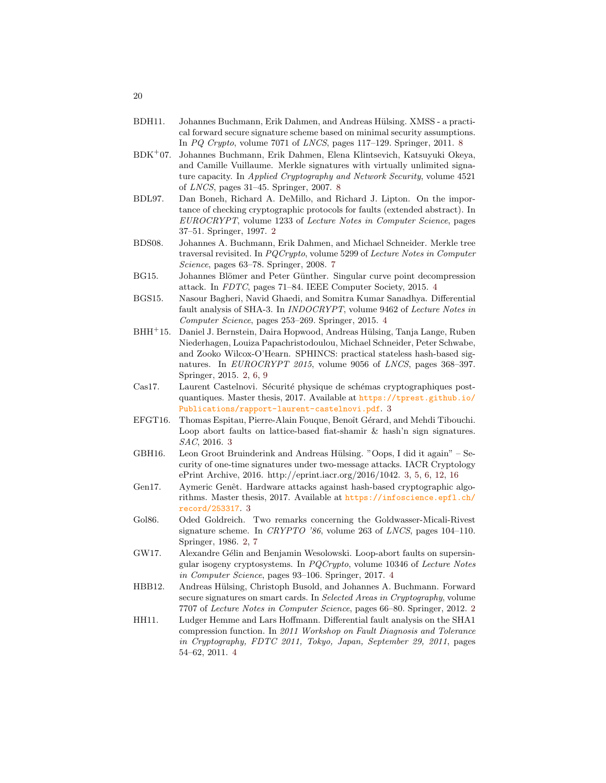- <span id="page-19-14"></span>BDH11. Johannes Buchmann, Erik Dahmen, and Andreas Hülsing. XMSS - a practical forward secure signature scheme based on minimal security assumptions. In PQ Crypto, volume 7071 of LNCS, pages 117–129. Springer, 2011. [8](#page-7-1)
- <span id="page-19-13"></span>BDK<sup>+</sup>07. Johannes Buchmann, Erik Dahmen, Elena Klintsevich, Katsuyuki Okeya, and Camille Vuillaume. Merkle signatures with virtually unlimited signature capacity. In Applied Cryptography and Network Security, volume 4521 of LNCS, pages 31–45. Springer, 2007. [8](#page-7-1)
- <span id="page-19-3"></span>BDL97. Dan Boneh, Richard A. DeMillo, and Richard J. Lipton. On the importance of checking cryptographic protocols for faults (extended abstract). In EUROCRYPT, volume 1233 of Lecture Notes in Computer Science, pages 37–51. Springer, 1997. [2](#page-1-0)
- <span id="page-19-12"></span>BDS08. Johannes A. Buchmann, Erik Dahmen, and Michael Schneider. Merkle tree traversal revisited. In PQCrypto, volume 5299 of Lecture Notes in Computer Science, pages 63–78. Springer, 2008. [7](#page-6-2)
- <span id="page-19-8"></span>BG15. Johannes Blömer and Peter Günther. Singular curve point decompression attack. In FDTC, pages 71–84. IEEE Computer Society, 2015. [4](#page-3-1)
- <span id="page-19-11"></span>BGS15. Nasour Bagheri, Navid Ghaedi, and Somitra Kumar Sanadhya. Differential fault analysis of SHA-3. In INDOCRYPT, volume 9462 of Lecture Notes in Computer Science, pages 253–269. Springer, 2015. [4](#page-3-1)
- <span id="page-19-1"></span>BHH<sup>+</sup>15. Daniel J. Bernstein, Daira Hopwood, Andreas Hülsing, Tanja Lange, Ruben Niederhagen, Louiza Papachristodoulou, Michael Schneider, Peter Schwabe, and Zooko Wilcox-O'Hearn. SPHINCS: practical stateless hash-based signatures. In EUROCRYPT 2015, volume 9056 of LNCS, pages 368–397. Springer, 2015. [2,](#page-1-0) [6,](#page-5-2) [9](#page-8-1)
- <span id="page-19-4"></span>Cas17. Laurent Castelnovi. Sécurité physique de schémas cryptographiques postquantiques. Master thesis, 2017. Available at [https://tprest.github.io/](https://tprest.github.io/Publications/rapport-laurent-castelnovi.pdf) [Publications/rapport-laurent-castelnovi.pdf](https://tprest.github.io/Publications/rapport-laurent-castelnovi.pdf). [3](#page-2-0)
- <span id="page-19-7"></span>EFGT16. Thomas Espitau, Pierre-Alain Fouque, Benoît Gérard, and Mehdi Tibouchi. Loop abort faults on lattice-based fiat-shamir & hash'n sign signatures. SAC, 2016. [3](#page-2-0)
- <span id="page-19-6"></span>GBH16. Leon Groot Bruinderink and Andreas Hülsing. "Oops, I did it again" – Security of one-time signatures under two-message attacks. IACR Cryptology ePrint Archive, 2016. http://eprint.iacr.org/2016/1042. [3,](#page-2-0) [5,](#page-4-1) [6,](#page-5-2) [12,](#page-11-3) [16](#page-15-2)
- <span id="page-19-5"></span>Gen17. Aymeric Genêt. Hardware attacks against hash-based cryptographic algorithms. Master thesis, 2017. Available at [https://infoscience.epfl.ch/](https://infoscience.epfl.ch/record/253317) [record/253317](https://infoscience.epfl.ch/record/253317). [3](#page-2-0)
- <span id="page-19-0"></span>Gol86. Oded Goldreich. Two remarks concerning the Goldwasser-Micali-Rivest signature scheme. In CRYPTO '86, volume 263 of LNCS, pages 104–110. Springer, 1986. [2,](#page-1-0) [7](#page-6-2)
- <span id="page-19-9"></span>GW17. Alexandre Gélin and Benjamin Wesolowski. Loop-abort faults on supersingular isogeny cryptosystems. In PQCrypto, volume 10346 of Lecture Notes in Computer Science, pages 93–106. Springer, 2017. [4](#page-3-1)
- <span id="page-19-2"></span>HBB12. Andreas Hülsing, Christoph Busold, and Johannes A. Buchmann. Forward secure signatures on smart cards. In Selected Areas in Cryptography, volume 7707 of Lecture Notes in Computer Science, pages 66–80. Springer, 2012. [2](#page-1-0)
- <span id="page-19-10"></span>HH11. Ludger Hemme and Lars Hoffmann. Differential fault analysis on the SHA1 compression function. In 2011 Workshop on Fault Diagnosis and Tolerance in Cryptography, FDTC 2011, Tokyo, Japan, September 29, 2011, pages 54–62, 2011. [4](#page-3-1)